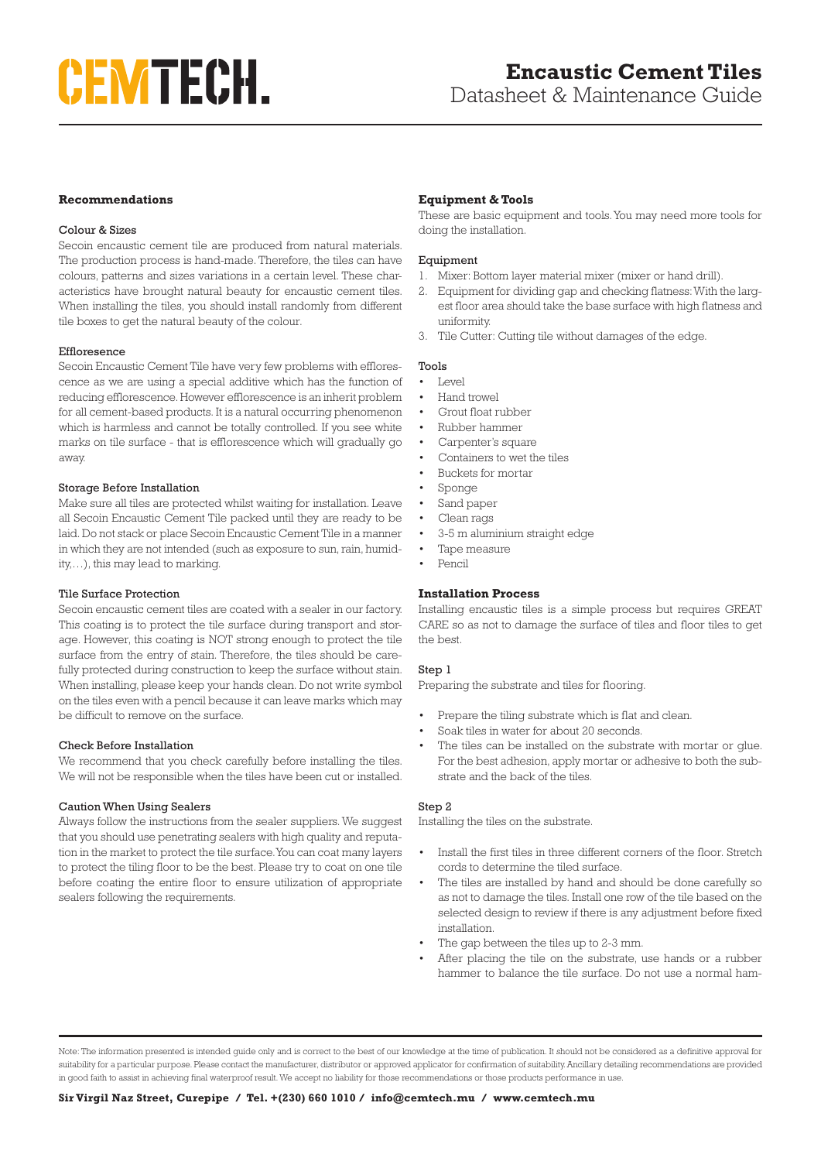## **Recommendations**

### Colour & Sizes

Secoin encaustic cement tile are produced from natural materials. The production process is hand-made. Therefore, the tiles can have colours, patterns and sizes variations in a certain level. These characteristics have brought natural beauty for encaustic cement tiles. When installing the tiles, you should install randomly from different tile boxes to get the natural beauty of the colour.

### Effloresence

Secoin Encaustic Cement Tile have very few problems with efflorescence as we are using a special additive which has the function of reducing efflorescence. However efflorescence is an inherit problem for all cement-based products. It is a natural occurring phenomenon which is harmless and cannot be totally controlled. If you see white marks on tile surface - that is efflorescence which will gradually go away.

### Storage Before Installation

Make sure all tiles are protected whilst waiting for installation. Leave all Secoin Encaustic Cement Tile packed until they are ready to be laid. Do not stack or place Secoin Encaustic Cement Tile in a manner in which they are not intended (such as exposure to sun, rain, humidity,…), this may lead to marking.

### Tile Surface Protection

Secoin encaustic cement tiles are coated with a sealer in our factory. This coating is to protect the tile surface during transport and storage. However, this coating is NOT strong enough to protect the tile surface from the entry of stain. Therefore, the tiles should be carefully protected during construction to keep the surface without stain. When installing, please keep your hands clean. Do not write symbol on the tiles even with a pencil because it can leave marks which may be difficult to remove on the surface.

### Check Before Installation

We recommend that you check carefully before installing the tiles. We will not be responsible when the tiles have been cut or installed.

### Caution When Using Sealers

Always follow the instructions from the sealer suppliers. We suggest that you should use penetrating sealers with high quality and reputation in the market to protect the tile surface. You can coat many layers to protect the tiling floor to be the best. Please try to coat on one tile before coating the entire floor to ensure utilization of appropriate sealers following the requirements.

# **Equipment & Tools**

These are basic equipment and tools. You may need more tools for doing the installation.

### Equipment

- 1. Mixer: Bottom layer material mixer (mixer or hand drill).
- 2. Equipment for dividing gap and checking flatness: With the largest floor area should take the base surface with high flatness and uniformity.
- 3. Tile Cutter: Cutting tile without damages of the edge.

# Tools

- $\bullet$  Level
- Hand trowel
- Grout float rubber
- Rubber hammer
- Carpenter's square
- Containers to wet the tiles
- Buckets for mortar
- Sponge
- Sand paper
- Clean rags
- 3-5 m aluminium straight edge
- Tape measure
- Pencil

### **Installation Process**

Installing encaustic tiles is a simple process but requires GREAT CARE so as not to damage the surface of tiles and floor tiles to get the best.

### Step 1

Preparing the substrate and tiles for flooring.

- Prepare the tiling substrate which is flat and clean.
- Soak tiles in water for about 20 seconds.
- The tiles can be installed on the substrate with mortar or qlue. For the best adhesion, apply mortar or adhesive to both the substrate and the back of the tiles.

### Step 2

Installing the tiles on the substrate.

- Install the first tiles in three different corners of the floor. Stretch cords to determine the tiled surface.
- The tiles are installed by hand and should be done carefully so as not to damage the tiles. Install one row of the tile based on the selected design to review if there is any adjustment before fixed installation.
- The gap between the tiles up to 2-3 mm.
- After placing the tile on the substrate, use hands or a rubber hammer to balance the tile surface. Do not use a normal ham-

Note: The information presented is intended guide only and is correct to the best of our knowledge at the time of publication. It should not be considered as a definitive approval for suitability for a particular purpose. Please contact the manufacturer, distributor or approved applicator for confirmation of suitability. Ancillary detailing recommendations are provided in good faith to assist in achieving final waterproof result. We accept no liability for those recommendations or those products performance in use.